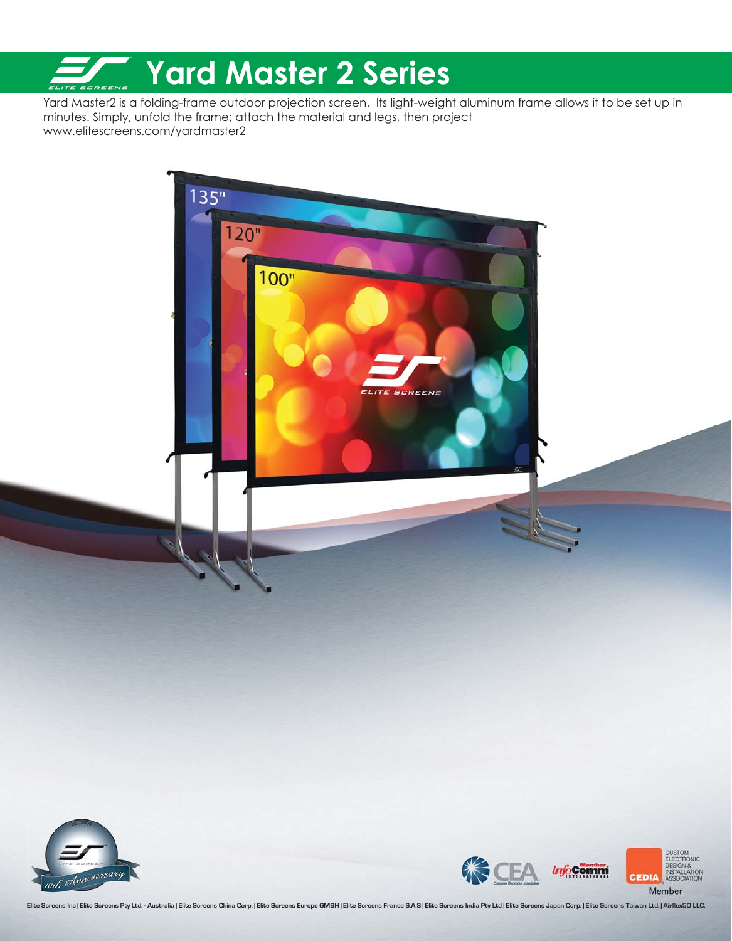# **Yard Master 2 Series**

 $120"$ 

 $100"$ 

 $135"$ 

Yard Master2 is a folding-frame outdoor projection screen. Its light-weight aluminum frame allows it to be set up in minutes. Simply, unfold the frame; attach the material and legs, then project www.elitescreens.com/yardmaster2

E SCREENS



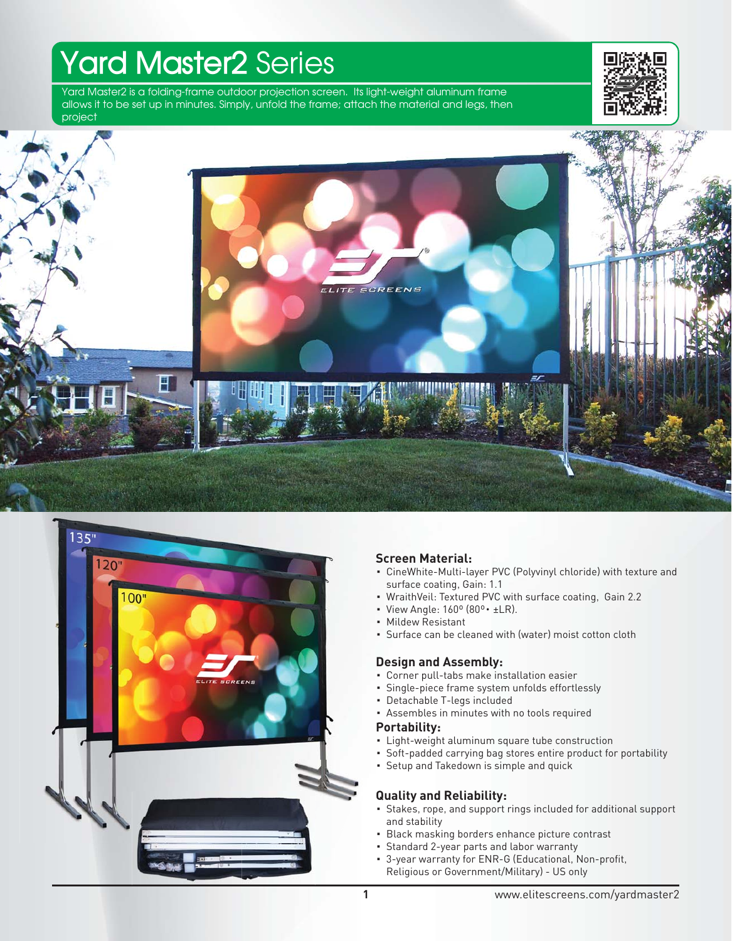## **Yard Master2** Series

Yard Master2 is a folding-frame outdoor projection screen. Its light-weight aluminum frame allows it to be set up in minutes. Simply, unfold the frame; attach the material and legs, then project







### **Screen Material: S**

- CineWhite-Multi-layer PVC (Polyvinyl chloride) with texture and surface coating, Gain: 1.1
- WraithVeil: Textured PVC with surface coating, Gain 2.2 •
- View Angle: 160° (80°• ±LR).
- Mildew Resistant •
- Surface can be cleaned with (water) moist cotton cloth •

#### **Design and Assembly: D**

- Corner pull-tabs make installation easier •
- Single-piece frame system unfolds effortlessly •
- Detachable T-legs included •
- Assembles in minutes with no tools required •

#### **Portability: P**

- Light-weight aluminum square tube construction •
- Soft-padded carrying bag stores entire product for portability •
- Setup and Takedown is simple and quick •

#### **Quality and Reliability: Q**

- Stakes, rope, and support rings included for additional support and stability
- Black masking borders enhance picture contrast •
- Standard 2-year parts and labor warranty
- 3-year warranty for ENR-G (Educational, Non-profit, Religious or Government/Military) - US only